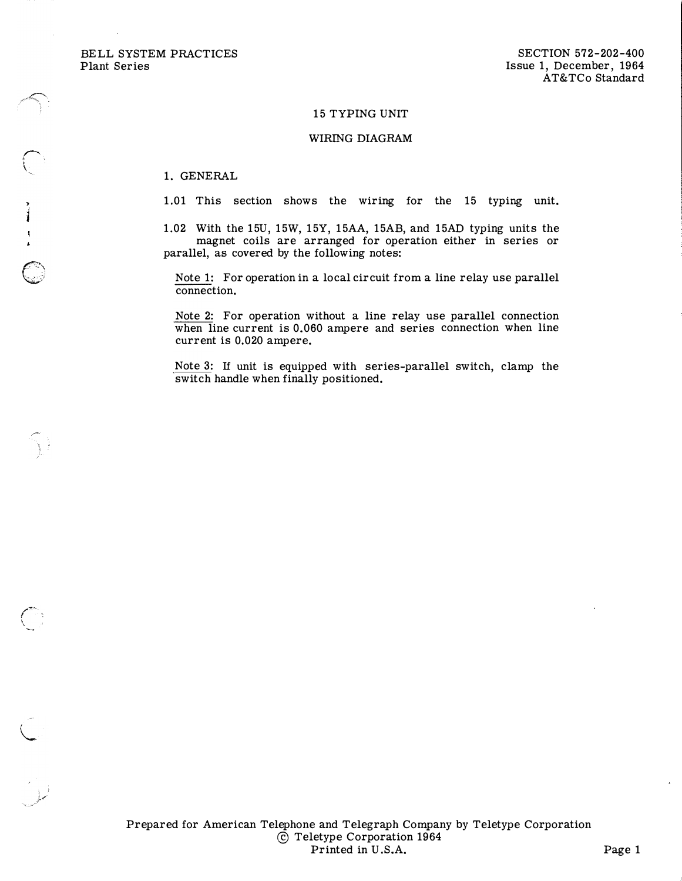BELL SYSTEM PRACTICES Plant Series

 $\bigcap$ 

, J

 $\mathbb{C}$  :

 $\mathcal{C}^{\text{max}}$  $\ddot{\phantom{0}}$ 

 $\subset$ 

## 15 TYPING UNIT

## WIRING DIAGRAM

1. GENERAL

1.01 This section shows the wiring for the 15 typing unit.

1.02 With the 15U, 15W, 15Y, 15AA, 15AB, and 15AD typing units the magnet coils are arranged for operation either in series or parallel, as covered by the following notes:

Note 1: For operation in a local circuit from a line relay use parallel connection.

Note 2: For operation without a line relay use parallel connection when line current is 0.060 ampere and series connection when line current is 0.020 ampere.

Note 3: If unit is equipped with series-parallel switch, clamp the switch handle when finally positioned.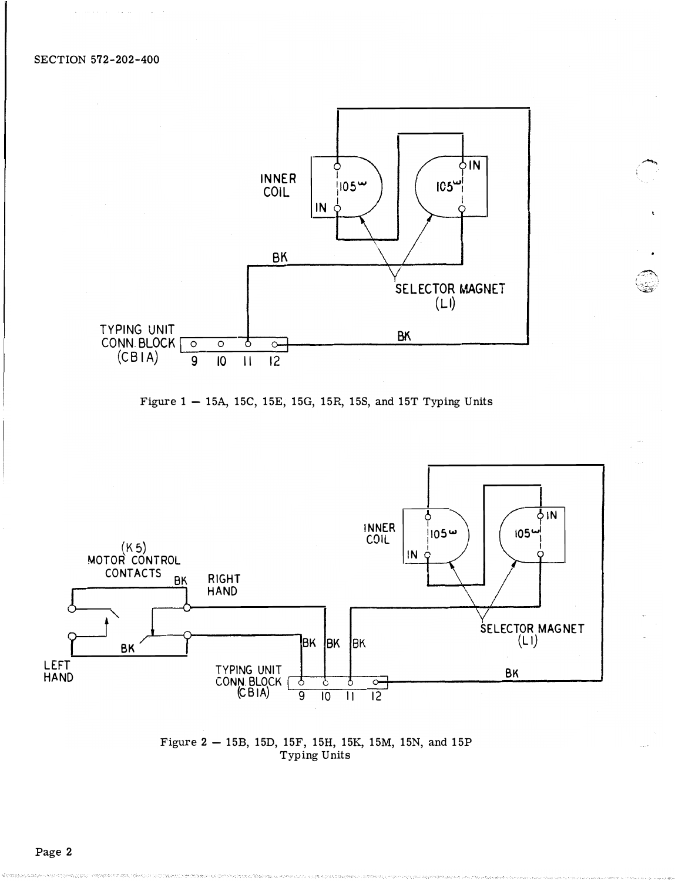





Figure 2 - 15B, 15D, 15F, 15H, 15K, 15M, 15N, and 15P Typing Units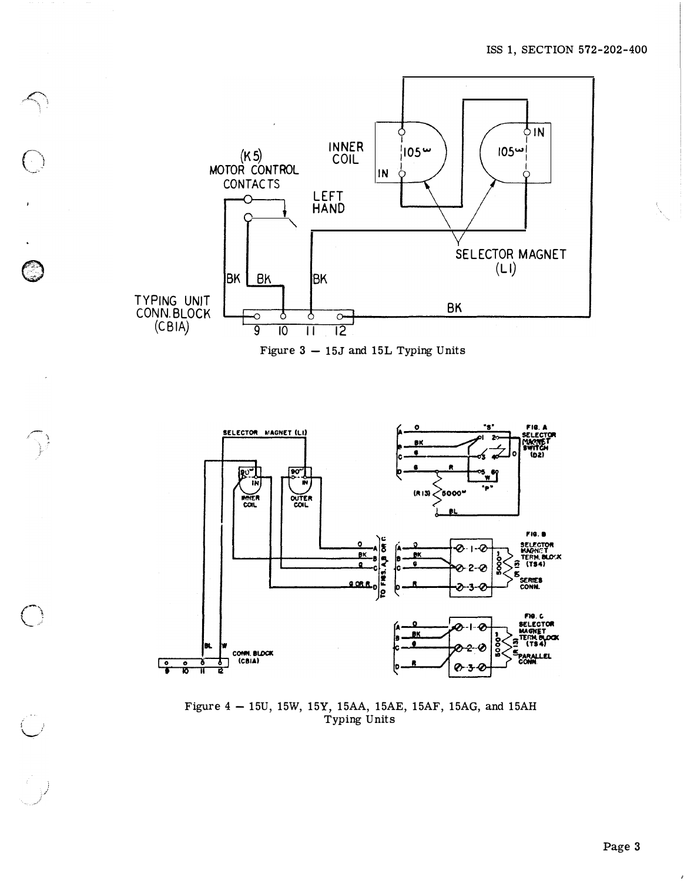

 $\overline{C}$ 

 $\bar{J}$ 

C.<br>City

 $\bigcap_{i=1}^n$ 

Figure  $3 - 15J$  and 15L Typing Units



Figure 4 - 15U, 15W, 15Y, 15AA, 15AE, 15AF, 15AG, and 15AH Typing Units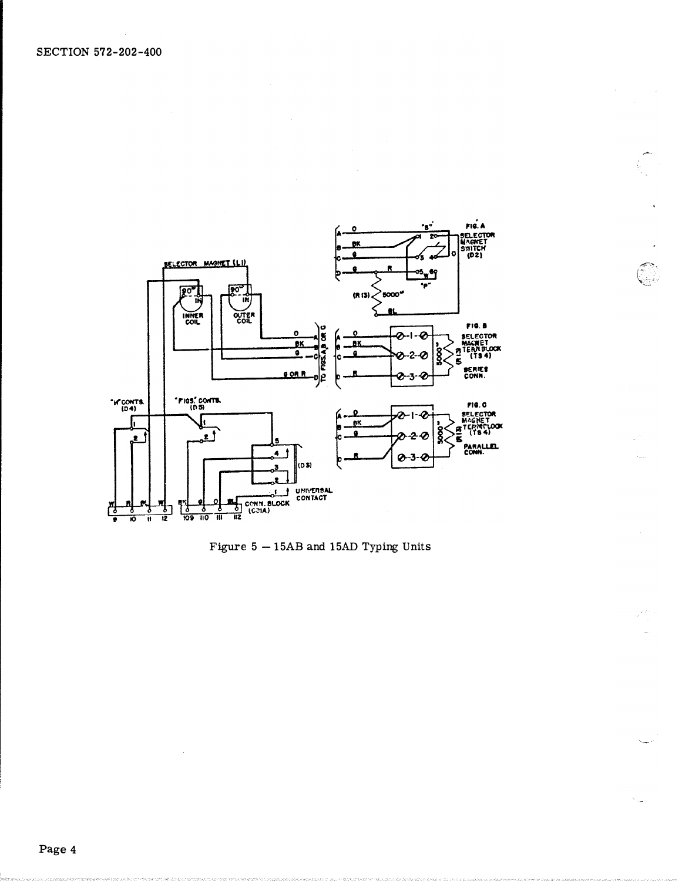

Figure  $5-15AB$  and 15AD Typing Units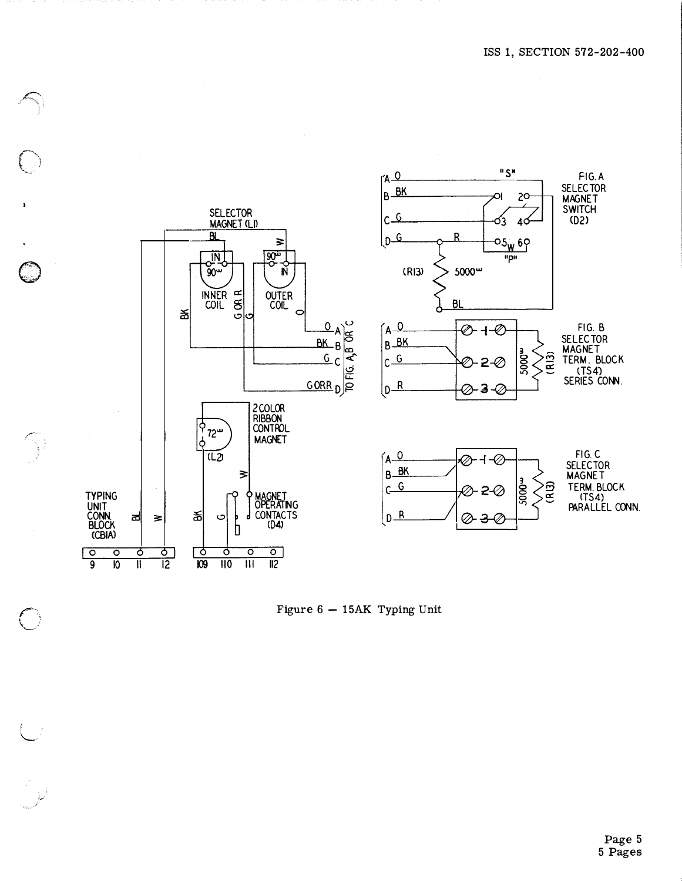

Figure  $6 - 15AK$  Typing Unit